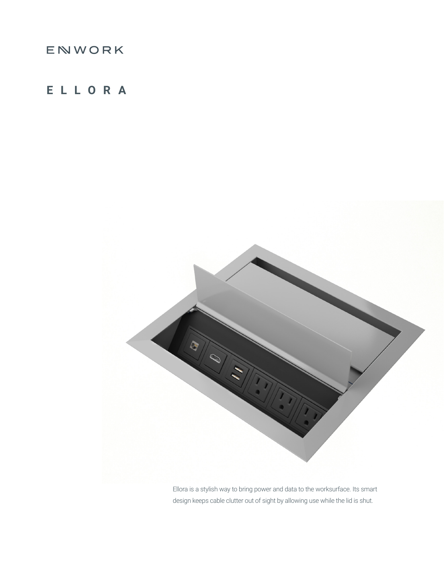## ENWORK

## **ELLORA**



Ellora is a stylish way to bring power and data to the worksurface. Its smart design keeps cable clutter out of sight by allowing use while the lid is shut.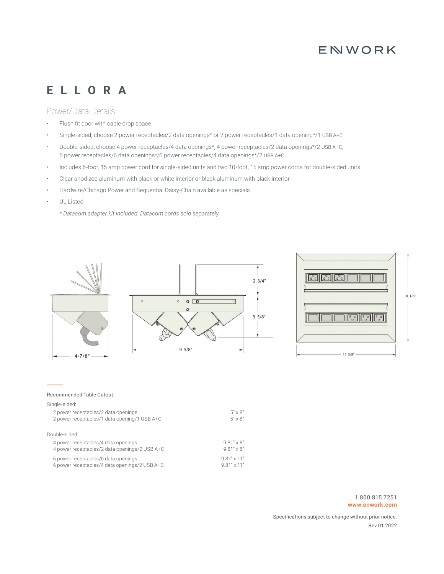### ENWORK

## **ELLORA**

#### Power/Data Details

- Flush fit door with cable drop space
- Single-sided, choose 2 power receptacles/2 data openings\* or 2 power receptacles/1 data opening\*/1 USB A+C
- Double-sided, choose 4 power receptacles/4 data openings\*, 4 power receptacles/2 data openings\*/2 USB A+C, 6 power receptacles/6 data openings\*/6 power receptacles/4 data openings\*/2 USB A+C
- Includes 6-foot, 15 amp power cord for single-sided units and two 10-foot, 15 amp power cords for double-sided units
- Clear anodized aluminum with black or white interior or black aluminum with black interior
- Hardwire/Chicago Power and Sequential Daisy-Chain available as specials
- UL Listed

*\* Datacom adapter kit included. Datacom cords sold separately.*



| 4 power receptacles/4 data openings           | $9.81'' \times 8''$  |
|-----------------------------------------------|----------------------|
| 4 power receptacles/2 data openings/2 USB A+C | $9.81'' \times 8''$  |
| 6 power receptacles/6 data openings           | $9.81'' \times 11''$ |
| 6 power receptacles/4 data openings/2 USB A+C | $9.81'' \times 11''$ |

Specifications subject to change without prior notice. Rev 01.2022